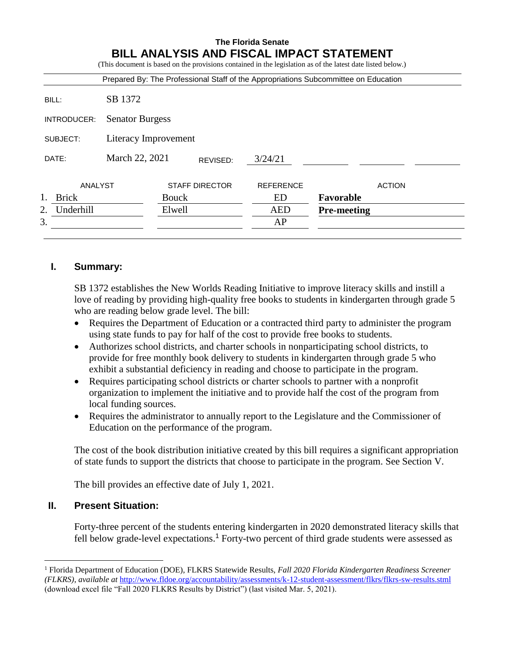|                 |                            |                       |         |                  | Prepared By: The Professional Staff of the Appropriations Subcommittee on Education |
|-----------------|----------------------------|-----------------------|---------|------------------|-------------------------------------------------------------------------------------|
| BILL:           | SB 1372                    |                       |         |                  |                                                                                     |
| INTRODUCER:     | <b>Senator Burgess</b>     |                       |         |                  |                                                                                     |
| SUBJECT:        | Literacy Improvement       |                       |         |                  |                                                                                     |
| DATE:           | March 22, 2021<br>REVISED: |                       | 3/24/21 |                  |                                                                                     |
| ANALYST         |                            | <b>STAFF DIRECTOR</b> |         | <b>REFERENCE</b> | <b>ACTION</b>                                                                       |
| <b>Brick</b>    |                            | <b>Bouck</b>          |         | ED               | Favorable                                                                           |
| Underhill<br>2. |                            | Elwell                |         | <b>AED</b>       | <b>Pre-meeting</b>                                                                  |
| 3.              |                            |                       |         | AP               |                                                                                     |

### **I. Summary:**

SB 1372 establishes the New Worlds Reading Initiative to improve literacy skills and instill a love of reading by providing high-quality free books to students in kindergarten through grade 5 who are reading below grade level. The bill:

- Requires the Department of Education or a contracted third party to administer the program using state funds to pay for half of the cost to provide free books to students.
- Authorizes school districts, and charter schools in nonparticipating school districts, to provide for free monthly book delivery to students in kindergarten through grade 5 who exhibit a substantial deficiency in reading and choose to participate in the program.
- Requires participating school districts or charter schools to partner with a nonprofit organization to implement the initiative and to provide half the cost of the program from local funding sources.
- Requires the administrator to annually report to the Legislature and the Commissioner of Education on the performance of the program.

The cost of the book distribution initiative created by this bill requires a significant appropriation of state funds to support the districts that choose to participate in the program. See Section V.

The bill provides an effective date of July 1, 2021.

### **II. Present Situation:**

 $\overline{a}$ 

Forty-three percent of the students entering kindergarten in 2020 demonstrated literacy skills that fell below grade-level expectations. <sup>1</sup> Forty-two percent of third grade students were assessed as

<sup>1</sup> Florida Department of Education (DOE), FLKRS Statewide Results, *Fall 2020 Florida Kindergarten Readiness Screener (FLKRS)*, *available at* <http://www.fldoe.org/accountability/assessments/k-12-student-assessment/flkrs/flkrs-sw-results.stml> (download excel file "Fall 2020 FLKRS Results by District") (last visited Mar. 5, 2021).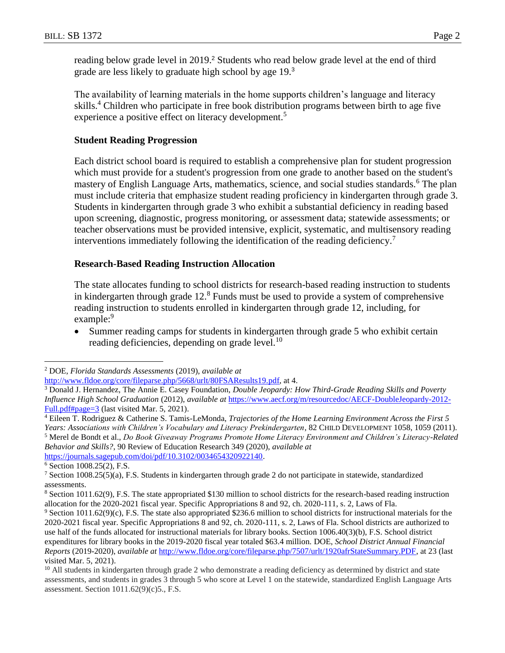reading below grade level in 2019. <sup>2</sup> Students who read below grade level at the end of third grade are less likely to graduate high school by age 19.<sup>3</sup>

The availability of learning materials in the home supports children's language and literacy skills. <sup>4</sup> Children who participate in free book distribution programs between birth to age five experience a positive effect on literacy development.<sup>5</sup>

#### **Student Reading Progression**

Each district school board is required to establish a comprehensive plan for student progression which must provide for a student's progression from one grade to another based on the student's mastery of English Language Arts, mathematics, science, and social studies standards.<sup>6</sup> The plan must include criteria that emphasize student reading proficiency in kindergarten through grade 3. Students in kindergarten through grade 3 who exhibit a substantial deficiency in reading based upon screening, diagnostic, progress monitoring, or assessment data; statewide assessments; or teacher observations must be provided intensive, explicit, systematic, and multisensory reading interventions immediately following the identification of the reading deficiency.<sup>7</sup>

#### **Research-Based Reading Instruction Allocation**

The state allocates funding to school districts for research-based reading instruction to students in kindergarten through grade  $12<sup>8</sup>$  Funds must be used to provide a system of comprehensive reading instruction to students enrolled in kindergarten through grade 12, including, for example:<sup>9</sup>

 Summer reading camps for students in kindergarten through grade 5 who exhibit certain reading deficiencies, depending on grade level.<sup>10</sup>

 $\overline{a}$ 

<sup>2</sup> DOE, *Florida Standards Assessments* (2019), *available at*

[http://www.fldoe.org/core/fileparse.php/5668/urlt/80FSAResults19.pdf,](http://www.fldoe.org/core/fileparse.php/5668/urlt/80FSAResults19.pdf) at 4.

<sup>3</sup> Donald J. Hernandez, The Annie E. Casey Foundation, *Double Jeopardy: How Third-Grade Reading Skills and Poverty Influence High School Graduation* (2012), *available at* [https://www.aecf.org/m/resourcedoc/AECF-DoubleJeopardy-2012-](https://www.aecf.org/m/resourcedoc/AECF-DoubleJeopardy-2012-Full.pdf#page=3) [Full.pdf#page=3](https://www.aecf.org/m/resourcedoc/AECF-DoubleJeopardy-2012-Full.pdf#page=3) (last visited Mar. 5, 2021).

<sup>4</sup> Eileen T. Rodriguez & Catherine S. Tamis-LeMonda, *Trajectories of the Home Learning Environment Across the First 5 Years: Associations with Children's Vocabulary and Literacy Prekindergarten*, 82 CHILD DEVELOPMENT 1058, 1059 (2011). <sup>5</sup> Merel de Bondt et al., *Do Book Giveaway Programs Promote Home Literacy Environment and Children's Literacy-Related Behavior and Skills?*, 90 Review of Education Research 349 (2020), *available at*  [https://journals.sagepub.com/doi/pdf/10.3102/0034654320922140.](https://journals.sagepub.com/doi/pdf/10.3102/0034654320922140)

 $6$  Section 1008.25(2), F.S.

<sup>7</sup> Section 1008.25(5)(a), F.S. Students in kindergarten through grade 2 do not participate in statewide, standardized assessments.

<sup>8</sup> Section 1011.62(9), F.S. The state appropriated \$130 million to school districts for the research-based reading instruction allocation for the 2020-2021 fiscal year. Specific Appropriations 8 and 92, ch. 2020-111, s. 2, Laws of Fla.

<sup>9</sup> Section 1011.62(9)(c), F.S. The state also appropriated \$236.6 million to school districts for instructional materials for the 2020-2021 fiscal year. Specific Appropriations 8 and 92, ch. 2020-111, s. 2, Laws of Fla. School districts are authorized to use half of the funds allocated for instructional materials for library books. Section 1006.40(3)(b), F.S. School district expenditures for library books in the 2019-2020 fiscal year totaled \$63.4 million. DOE, *School District Annual Financial Reports* (2019-2020), *available at* [http://www.fldoe.org/core/fileparse.php/7507/urlt/1920afrStateSummary.PDF,](http://www.fldoe.org/core/fileparse.php/7507/urlt/1920afrStateSummary.PDF) at 23 (last visited Mar. 5, 2021).

 $10$  All students in kindergarten through grade 2 who demonstrate a reading deficiency as determined by district and state assessments, and students in grades 3 through 5 who score at Level 1 on the statewide, standardized English Language Arts assessment. Section 1011.62(9)(c)5., F.S.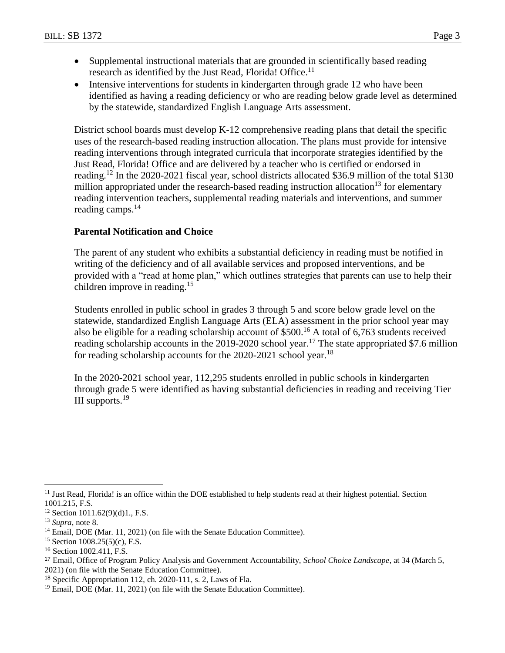- Supplemental instructional materials that are grounded in scientifically based reading research as identified by the Just Read, Florida! Office.<sup>11</sup>
- Intensive interventions for students in kindergarten through grade 12 who have been identified as having a reading deficiency or who are reading below grade level as determined by the statewide, standardized English Language Arts assessment.

District school boards must develop K-12 comprehensive reading plans that detail the specific uses of the research-based reading instruction allocation. The plans must provide for intensive reading interventions through integrated curricula that incorporate strategies identified by the Just Read, Florida! Office and are delivered by a teacher who is certified or endorsed in reading.<sup>12</sup> In the 2020-2021 fiscal year, school districts allocated \$36.9 million of the total \$130 million appropriated under the research-based reading instruction allocation<sup>13</sup> for elementary reading intervention teachers, supplemental reading materials and interventions, and summer reading camps.<sup>14</sup>

### **Parental Notification and Choice**

The parent of any student who exhibits a substantial deficiency in reading must be notified in writing of the deficiency and of all available services and proposed interventions, and be provided with a "read at home plan," which outlines strategies that parents can use to help their children improve in reading.<sup>15</sup>

Students enrolled in public school in grades 3 through 5 and score below grade level on the statewide, standardized English Language Arts (ELA) assessment in the prior school year may also be eligible for a reading scholarship account of \$500.<sup>16</sup> A total of 6,763 students received reading scholarship accounts in the 2019-2020 school year.<sup>17</sup> The state appropriated \$7.6 million for reading scholarship accounts for the  $2020-2021$  school year.<sup>18</sup>

In the 2020-2021 school year, 112,295 students enrolled in public schools in kindergarten through grade 5 were identified as having substantial deficiencies in reading and receiving Tier III supports. 19

 $\overline{a}$ 

<sup>&</sup>lt;sup>11</sup> Just Read, Florida! is an office within the DOE established to help students read at their highest potential. Section 1001.215, F.S.

<sup>12</sup> Section 1011.62(9)(d)1., F.S.

<sup>13</sup> *Supra*, note 8.

<sup>&</sup>lt;sup>14</sup> Email, DOE (Mar. 11, 2021) (on file with the Senate Education Committee).

<sup>&</sup>lt;sup>15</sup> Section 1008.25(5)(c), F.S.

<sup>16</sup> Section 1002.411, F.S.

<sup>17</sup> Email, Office of Program Policy Analysis and Government Accountability, *School Choice Landscape*, at 34 (March 5, 2021) (on file with the Senate Education Committee).

<sup>18</sup> Specific Appropriation 112, ch. 2020-111, s. 2, Laws of Fla.

<sup>&</sup>lt;sup>19</sup> Email, DOE (Mar. 11, 2021) (on file with the Senate Education Committee).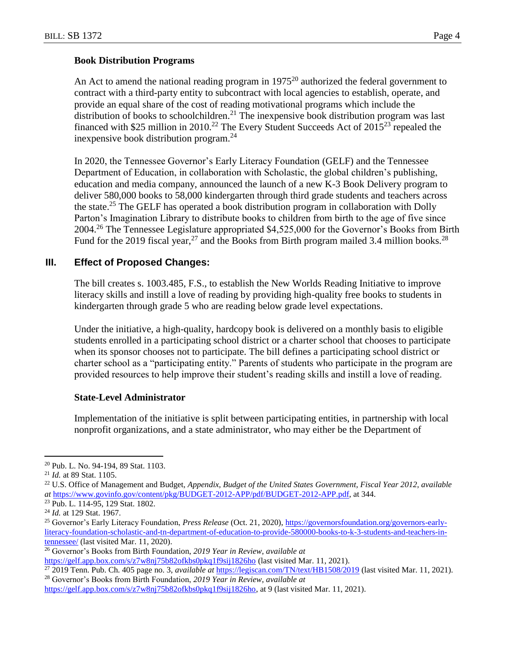#### **Book Distribution Programs**

An Act to amend the national reading program in  $1975<sup>20</sup>$  authorized the federal government to contract with a third-party entity to subcontract with local agencies to establish, operate, and provide an equal share of the cost of reading motivational programs which include the distribution of books to schoolchildren.<sup>21</sup> The inexpensive book distribution program was last financed with \$25 million in 2010.<sup>22</sup> The Every Student Succeeds Act of  $2015^{23}$  repealed the inexpensive book distribution program.<sup>24</sup>

In 2020, the Tennessee Governor's Early Literacy Foundation (GELF) and the Tennessee Department of Education, in collaboration with Scholastic, the global children's publishing, education and media company, announced the launch of a new K-3 Book Delivery program to deliver 580,000 books to 58,000 kindergarten through third grade students and teachers across the state.<sup>25</sup> The GELF has operated a book distribution program in collaboration with Dolly Parton's Imagination Library to distribute books to children from birth to the age of five since 2004.<sup>26</sup> The Tennessee Legislature appropriated \$4,525,000 for the Governor's Books from Birth Fund for the 2019 fiscal year,  $27$  and the Books from Birth program mailed 3.4 million books.  $28$ 

#### **III. Effect of Proposed Changes:**

The bill creates s. 1003.485, F.S., to establish the New Worlds Reading Initiative to improve literacy skills and instill a love of reading by providing high-quality free books to students in kindergarten through grade 5 who are reading below grade level expectations.

Under the initiative, a high-quality, hardcopy book is delivered on a monthly basis to eligible students enrolled in a participating school district or a charter school that chooses to participate when its sponsor chooses not to participate. The bill defines a participating school district or charter school as a "participating entity." Parents of students who participate in the program are provided resources to help improve their student's reading skills and instill a love of reading.

#### **State-Level Administrator**

Implementation of the initiative is split between participating entities, in partnership with local nonprofit organizations, and a state administrator, who may either be the Department of

 $\overline{a}$ 

<sup>20</sup> Pub. L. No. 94-194, 89 Stat. 1103.

<sup>21</sup> *Id.* at 89 Stat. 1105.

<sup>22</sup> U.S. Office of Management and Budget, *Appendix, Budget of the United States Government, Fiscal Year 2012*, *available at* [https://www.govinfo.gov/content/pkg/BUDGET-2012-APP/pdf/BUDGET-2012-APP.pdf,](https://www.govinfo.gov/content/pkg/BUDGET-2012-APP/pdf/BUDGET-2012-APP.pdf) at 344.

<sup>23</sup> Pub. L. 114-95, 129 Stat. 1802.

<sup>24</sup> *Id.* at 129 Stat. 1967.

<sup>25</sup> Governor's Early Literacy Foundation, *Press Release* (Oct. 21, 2020), [https://governorsfoundation.org/governors-early](https://governorsfoundation.org/governors-early-literacy-foundation-scholastic-and-tn-department-of-education-to-provide-580000-books-to-k-3-students-and-teachers-in-tennessee/)[literacy-foundation-scholastic-and-tn-department-of-education-to-provide-580000-books-to-k-3-students-and-teachers-in](https://governorsfoundation.org/governors-early-literacy-foundation-scholastic-and-tn-department-of-education-to-provide-580000-books-to-k-3-students-and-teachers-in-tennessee/)[tennessee/](https://governorsfoundation.org/governors-early-literacy-foundation-scholastic-and-tn-department-of-education-to-provide-580000-books-to-k-3-students-and-teachers-in-tennessee/) (last visited Mar. 11, 2020).

<sup>26</sup> Governor's Books from Birth Foundation, *2019 Year in Review*, *available at*  <https://gelf.app.box.com/s/z7w8nj75b82ofkbs0pkq1f9sij1826ho> (last visited Mar. 11, 2021).

<sup>27</sup> 2019 Tenn. Pub. Ch. 405 page no. 3, *available at* <https://legiscan.com/TN/text/HB1508/2019> (last visited Mar. 11, 2021).

<sup>28</sup> Governor's Books from Birth Foundation, *2019 Year in Review*, *available at* 

[https://gelf.app.box.com/s/z7w8nj75b82ofkbs0pkq1f9sij1826ho,](https://gelf.app.box.com/s/z7w8nj75b82ofkbs0pkq1f9sij1826ho) at 9 (last visited Mar. 11, 2021).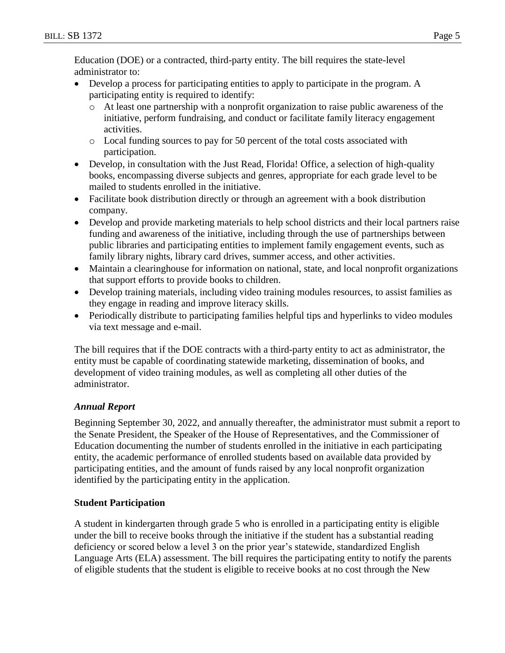Education (DOE) or a contracted, third-party entity. The bill requires the state-level administrator to:

- Develop a process for participating entities to apply to participate in the program. A participating entity is required to identify:
	- o At least one partnership with a nonprofit organization to raise public awareness of the initiative, perform fundraising, and conduct or facilitate family literacy engagement activities.
	- o Local funding sources to pay for 50 percent of the total costs associated with participation.
- Develop, in consultation with the Just Read, Florida! Office, a selection of high-quality books, encompassing diverse subjects and genres, appropriate for each grade level to be mailed to students enrolled in the initiative.
- Facilitate book distribution directly or through an agreement with a book distribution company.
- Develop and provide marketing materials to help school districts and their local partners raise funding and awareness of the initiative, including through the use of partnerships between public libraries and participating entities to implement family engagement events, such as family library nights, library card drives, summer access, and other activities.
- Maintain a clearinghouse for information on national, state, and local nonprofit organizations that support efforts to provide books to children.
- Develop training materials, including video training modules resources, to assist families as they engage in reading and improve literacy skills.
- Periodically distribute to participating families helpful tips and hyperlinks to video modules via text message and e-mail.

The bill requires that if the DOE contracts with a third-party entity to act as administrator, the entity must be capable of coordinating statewide marketing, dissemination of books, and development of video training modules, as well as completing all other duties of the administrator.

### *Annual Report*

Beginning September 30, 2022, and annually thereafter, the administrator must submit a report to the Senate President, the Speaker of the House of Representatives, and the Commissioner of Education documenting the number of students enrolled in the initiative in each participating entity, the academic performance of enrolled students based on available data provided by participating entities, and the amount of funds raised by any local nonprofit organization identified by the participating entity in the application.

### **Student Participation**

A student in kindergarten through grade 5 who is enrolled in a participating entity is eligible under the bill to receive books through the initiative if the student has a substantial reading deficiency or scored below a level 3 on the prior year's statewide, standardized English Language Arts (ELA) assessment. The bill requires the participating entity to notify the parents of eligible students that the student is eligible to receive books at no cost through the New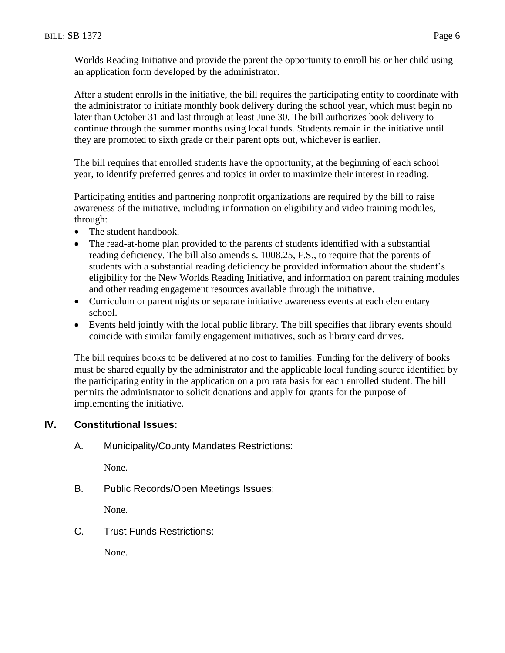Worlds Reading Initiative and provide the parent the opportunity to enroll his or her child using an application form developed by the administrator.

After a student enrolls in the initiative, the bill requires the participating entity to coordinate with the administrator to initiate monthly book delivery during the school year, which must begin no later than October 31 and last through at least June 30. The bill authorizes book delivery to continue through the summer months using local funds. Students remain in the initiative until they are promoted to sixth grade or their parent opts out, whichever is earlier.

The bill requires that enrolled students have the opportunity, at the beginning of each school year, to identify preferred genres and topics in order to maximize their interest in reading.

Participating entities and partnering nonprofit organizations are required by the bill to raise awareness of the initiative, including information on eligibility and video training modules, through:

- The student handbook.
- The read-at-home plan provided to the parents of students identified with a substantial reading deficiency. The bill also amends s. 1008.25, F.S., to require that the parents of students with a substantial reading deficiency be provided information about the student's eligibility for the New Worlds Reading Initiative, and information on parent training modules and other reading engagement resources available through the initiative.
- Curriculum or parent nights or separate initiative awareness events at each elementary school.
- Events held jointly with the local public library. The bill specifies that library events should coincide with similar family engagement initiatives, such as library card drives.

The bill requires books to be delivered at no cost to families. Funding for the delivery of books must be shared equally by the administrator and the applicable local funding source identified by the participating entity in the application on a pro rata basis for each enrolled student. The bill permits the administrator to solicit donations and apply for grants for the purpose of implementing the initiative.

### **IV. Constitutional Issues:**

A. Municipality/County Mandates Restrictions:

None.

B. Public Records/Open Meetings Issues:

None.

C. Trust Funds Restrictions:

None.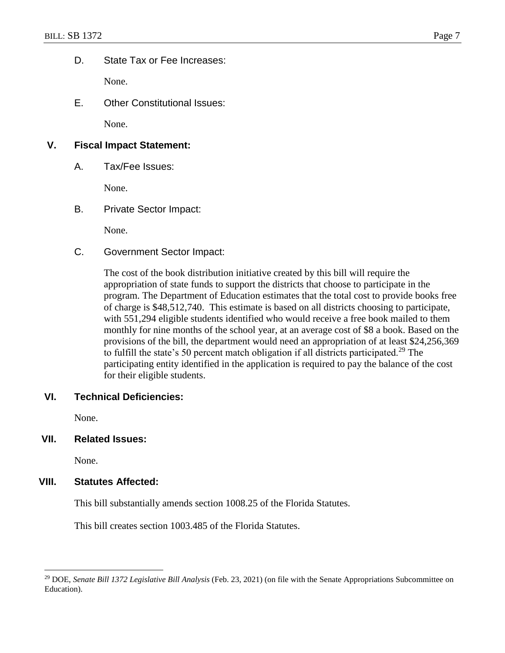D. State Tax or Fee Increases:

None.

E. Other Constitutional Issues:

None.

# **V. Fiscal Impact Statement:**

A. Tax/Fee Issues:

None.

B. Private Sector Impact:

None.

C. Government Sector Impact:

The cost of the book distribution initiative created by this bill will require the appropriation of state funds to support the districts that choose to participate in the program. The Department of Education estimates that the total cost to provide books free of charge is \$48,512,740. This estimate is based on all districts choosing to participate, with 551,294 eligible students identified who would receive a free book mailed to them monthly for nine months of the school year, at an average cost of \$8 a book. Based on the provisions of the bill, the department would need an appropriation of at least \$24,256,369 to fulfill the state's 50 percent match obligation if all districts participated.<sup>29</sup> The participating entity identified in the application is required to pay the balance of the cost for their eligible students.

## **VI. Technical Deficiencies:**

None.

**VII. Related Issues:**

None.

 $\overline{a}$ 

#### **VIII. Statutes Affected:**

This bill substantially amends section 1008.25 of the Florida Statutes.

This bill creates section 1003.485 of the Florida Statutes.

<sup>29</sup> DOE, *Senate Bill 1372 Legislative Bill Analysis* (Feb. 23, 2021) (on file with the Senate Appropriations Subcommittee on Education).